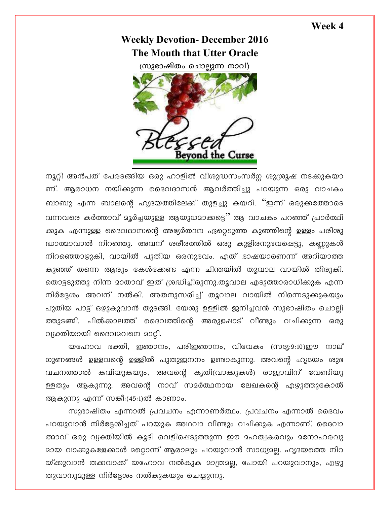## Week 4

## **Weekly Devotion- December 2016** The Mouth that Utter Oracle

(സുഭാഷിതം ചൊല്ലുന്ന നാവ്)



നൂറ്റി അൻപത് പേരടങ്ങിയ ഒരു ഹാളിൽ വിശുദ്ധസംസർഗ്ഗ ശുശ്രൂഷ നടക്കുകയാ ണ്. ആരാധന നയിക്കുന്ന ദൈവദാസൻ ആവർത്തിച്ചു പറയുന്ന ഒരു വാചകം ബാബു എന്ന ബാലന്റെ ഹൃദയത്തിലേക്ക് തുളച്ചു കയറി. ''ഇന്ന് ഒരുക്കത്തോടെ വന്നവരെ കർത്താവ് മൂർച്ചയുള്ള ആയുധമാക്കട്ടെ "ആ വാചകം പറഞ്ഞ് പ്രാർത്ഥി ക്കുക എന്നുള്ള ദൈവദാസന്റെ അഭ്യർത്ഥന ഏറ്റെടുത്ത കുഞ്ഞിന്റെ ഉള്ളം പരിശു ദ്ധാത്മാവാൽ നിറഞ്ഞു. അവന് ശരീരത്തിൽ ഒരു കുളിരനുഭവപ്പെട്ടു, കണ്ണുകൾ നിറഞ്ഞൊഴ്ചുകി, വായിൽ പുതിയ ഒരനുഭവം. ഏത് ഭാഷയാണെന്ന് അറിയാത്ത കുഞ്ഞ് തന്നെ ആരും കേൾക്കേണ്ട എന്ന ചിന്തയിൽ തൂവാല വായിൽ തിരുകി. തൊട്ടടുത്തു നിന്ന മാതാവ് ഇത് ശ്രദ്ധിച്ചിരുന്നു.തൂവാല എടുത്താരാധിക്കുക എന്ന നിർദ്ദേശം അവന് നൽകി. അതനുസരിച്ച് തൂവാല വായിൽ നിന്നെടുക്കുകയും പുതിയ പാട്ട് ഒഴുകുവാൻ തുടങ്ങി. യേശു ഉള്ളിൽ ജനിച്ചവൻ സുഭാഷിതം ചൊല്ലി ത്തുടങ്ങി. പിൽക്കാലത്ത് ദൈവത്തിന്റെ അരുളപ്പാട് വീണ്ടും വചിക്കുന്ന ഒരു വ്യക്തിയായി ദൈവമവനെ മാറ്റി.

യഹോവ ഭക്തി, ഇഞാനം, പരിഇഞാനം, വിവേകം (സദൃ:9:10)ഈ നാല് ഗുണങ്ങൾ ഉള്ളവന്റെ ഉള്ളിൽ പുതുജനനം ഉണ്ടാകുന്നു. അവന്റെ ഹൃദയം ശുഭ വചനത്താൽ കവിയുകയും, അവന്റെ കൃതി(വാക്കുകൾ) രാജാവിന് വേണ്ടിയു ള്ളതും ആകുന്നു. അവന്റെ നാവ് സമർത്ഥനായ ലേഖകന്റെ എഴുത്തുകോൽ ആകുന്നു എന്ന് സങ്കീ:(45:1)ൽ കാണാം.

സുഭാഷിതം എന്നാൽ പ്രവചനം എന്നാണർത്ഥം. പ്രവചനം എന്നാൽ ദൈവം പറയുവാൻ നിർദ്ദേശിച്ചത് പറയുക അഥവാ വീണ്ടും വചിക്കുക എന്നാണ്. ദൈവാ ത്മാവ് ഒരു വ്യക്തിയിൽ കൂടി വെളിപ്പെടുത്തുന്ന ഈ മഹത്വകരവും മനോഹരവു മായ വാക്കുകളേക്കാൾ മറ്റൊന്ന് ആരാലും പറയുവാൻ സാധ്യമല്ല. ഹൃദയത്തെ നിറ യ്ക്കുവാൻ തക്കവാക്ക് യഹോവ നൽകുക മാത്രമല്ല, പോയി പറയുവാനും, എഴു തുവാനുമുള്ള നിർദ്ദേശം നൽകുകയും ചെയ്യുന്നു.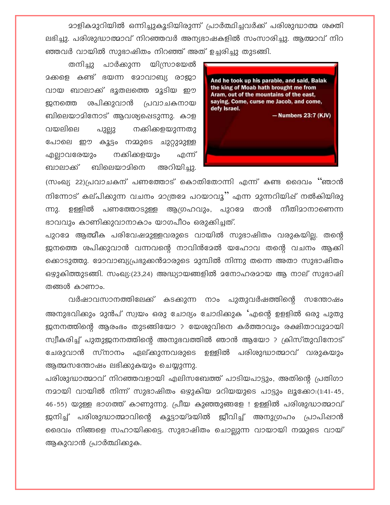<u> മാളികമുറിയിൽ ഒന്നിച്ചുകൂടിയിരുന്ന് പ്രാർത്ഥിച്ചവർക്ക് പരിശുദ്ധാത്മ ശക്തി</u> ലഭിച്ചു. പരിശുദ്ധാത്മാവ് നിറഞ്ഞവർ അന്യഭാഷകളിൽ സംസാരിച്ചു. ആത്മാവ് നിറ ഞ്ഞവർ വായിൽ സുഭാഷിതം നിറഞ്ഞ് അത് ഉച്ചരിച്ചു തുടങ്ങി.

പാർക്കുന്ന യിസ്രായേൽ തനിച്ചു മക്കളെ കണ്ട് ഭയന്ന മോവാബ്യ രാജാ വായ ബാലാക്ക് ഭൂതലത്തെ മൂടിയ ഈ ശപിക്കുവാൻ പ്രവാചകനായ ജനത്തെ ബിലെയാമിനോട് ആവശ്യപ്പെടുന്നു. കാള വയലിലെ പുല്ലു നക്കികളയുന്നതു പോലെ ഈ കൂട്ടം നമ്മുടെ ചുറ്റുമുള്ള നക്കിക്കളയും എല്ലാവരേയും എന്ന് അറിയിച്ചു. ബാലാക്ക് ബിലെയാമിനെ



(സംഖ്യ 22)പ്രവാചകന് പണത്തോട് കൊതിതോന്നി എന്ന് കണ്ട ദൈവം ''ഞാൻ നിന്നോട് കല്പിക്കുന്ന വചനം മാത്രമേ പറയാവൂ'' എന്ന മുന്നറിയിഷ് നൽകിയിരു ന്നു. ഉള്ളിൽ പണത്തോടുള്ള ആഗ്രഹവും, പുറമേ താൻ നീതിമാനാണെന്ന ഭാവവും കാണിക്കുവാനാകാം യാഗപീഠം ഒരുക്കിച്ചത്.

പുറമേ ആത്മീക പരിവേഷമുള്ളവരുടെ വായിൽ സുഭാഷിതം വരുകയില. തന്റെ ജനത്തെ ശപിക്കുവാൻ വന്നവന്റെ നാവിൻമേൽ യഹോവ തന്റെ വചനം ആകി ക്കൊടുത്തു. മോവാബ്യപ്രഭുക്കൻമാരുടെ മുമ്പിൽ നിന്നു തന്നെ അതാ സുഭാഷിതം ഒഴ്യുകിത്തുടങ്ങി. സംഖ്യ:(23,24) അദ്ധ്യായങ്ങളിൽ മനോഹരമായ ആ നാല് സുഭാഷി തങ്ങൾ കാണാം.

വർഷാവസാനത്തിലേക്ക് കടക്കുന്ന നാം പുതുവർഷത്തിന്റെ സന്തോഷം അനുഭവിക്കും മുൻപ് സ്വയം ഒരു ചോദ്യം ചോദിക്കുക 'എന്റെ ഉളളിൽ ഒരു പുതു ജനനത്തിന്റെ അരംഭം തുടങ്ങിയോ ? യേശുവിനെ കർത്താവും രക്ഷിതാവുമായി സ്വീകരിച്ച് പുതുജനനത്തിന്റെ അനുഭവത്തിൽ ഞാൻ ആയോ ? ക്രിസ്തുവിനോട് ചേരുവാൻ സ്നാനം ഏല്ക്കുന്നവരുടെ ഉള്ളിൽ പരിശുദ്ധാത്മാവ് വരുകയും ആത്മസന്തോഷം ലഭിക്കുകയും ചെയ്യുന്നു.

പരിശുദ്ധാത്മാവ് നിറഞ്ഞവളായി എലിസബേത്ത് പാടിയപാട്ടും, അതിന്റെ പ്രതിഗാ നമായി വായിൽ നിന്ന് സുഭാഷിതം ഒഴുകിയ മറിയയുടെ പാട്ടും ലൂക്കോ:(1:41-45, 46-55) യുള്ള ഭാഗത്ത് കാണുന്നു. പ്രീയ കുഞ്ഞുങ്ങളേ ! ഉള്ളിൽ പരിശുദ്ധാത്മാവ് ജനിച്ച് പരിശുദ്ധാത്മാവിന്റെ കൂട്ടായ്മയിൽ ജീവിച്ച് അനുഗ്രഹം പ്രാപിഷാൻ ദൈവം നിങ്ങളെ സഹായിക്കട്ടെ. സുഭാഷിതം ചൊല്ലുന്ന വായായി നമ്മുടെ വായ് ആകുവാൻ പ്രാർത്ഥിക്കുക.